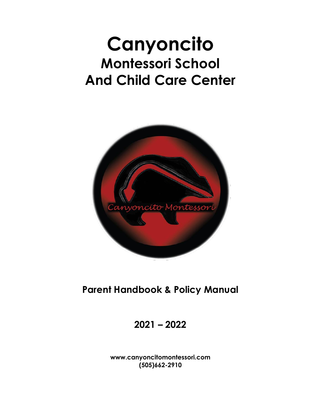# **Canyoncito Montessori School And Child Care Center**



**Parent Handbook & Policy Manual**

**2021 – 2022**

**www.canyoncitomontessori.com (505)662-2910**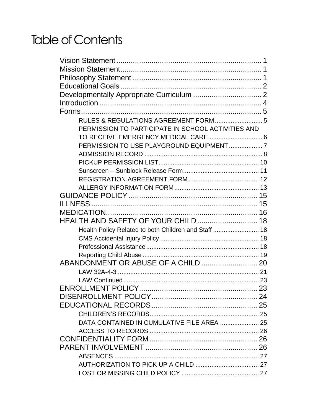# Table of Contents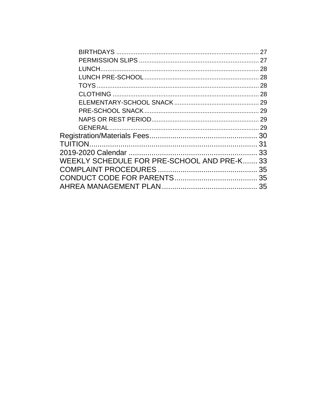|                                             | 27 |
|---------------------------------------------|----|
|                                             |    |
|                                             |    |
|                                             |    |
|                                             |    |
|                                             |    |
|                                             |    |
|                                             |    |
|                                             |    |
|                                             |    |
|                                             |    |
|                                             |    |
|                                             |    |
| WEEKLY SCHEDULE FOR PRE-SCHOOL AND PRE-K 33 |    |
|                                             |    |
|                                             |    |
|                                             |    |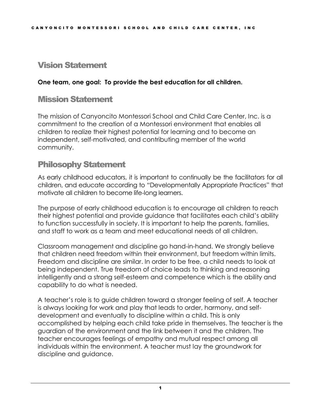## <span id="page-3-0"></span>Vision Statement

#### **One team, one goal: To provide the best education for all children.**

#### <span id="page-3-1"></span>Mission Statement

The mission of Canyoncito Montessori School and Child Care Center, Inc. is a commitment to the creation of a Montessori environment that enables all children to realize their highest potential for learning and to become an independent, self-motivated, and contributing member of the world community.

#### <span id="page-3-2"></span>Philosophy Statement

As early childhood educators, it is important to continually be the facilitators for all children, and educate according to "Developmentally Appropriate Practices" that motivate all children to become life-long learners.

The purpose of early childhood education is to encourage all children to reach their highest potential and provide guidance that facilitates each child's ability to function successfully in society. It is important to help the parents, families, and staff to work as a team and meet educational needs of all children.

Classroom management and discipline go hand-in-hand. We strongly believe that children need freedom within their environment, but freedom within limits. Freedom and discipline are similar. In order to be free, a child needs to look at being independent. True freedom of choice leads to thinking and reasoning intelligently and a strong self-esteem and competence which is the ability and capability to do what is needed.

A teacher's role is to guide children toward a stronger feeling of self. A teacher is always looking for work and play that leads to order, harmony, and selfdevelopment and eventually to discipline within a child. This is only accomplished by helping each child take pride in themselves. The teacher is the guardian of the environment and the link between it and the children. The teacher encourages feelings of empathy and mutual respect among all individuals within the environment. A teacher must lay the groundwork for discipline and guidance.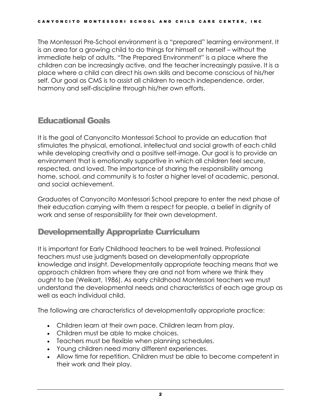The Montessori Pre-School environment is a "prepared" learning environment. It is an area for a growing child to do things for himself or herself – without the immediate help of adults. "The Prepared Environment" is a place where the children can be increasingly active, and the teacher increasingly passive. It is a place where a child can direct his own skills and become conscious of his/her self. Our goal as CMS is to assist all children to reach independence, order, harmony and self-discipline through his/her own efforts.

# <span id="page-4-0"></span>Educational Goals

It is the goal of Canyoncito Montessori School to provide an education that stimulates the physical, emotional, intellectual and social growth of each child while developing creativity and a positive self-image. Our goal is to provide an environment that is emotionally supportive in which all children feel secure, respected, and loved. The importance of sharing the responsibility among home, school, and community is to foster a higher level of academic, personal, and social achievement.

Graduates of Canyoncito Montessori School prepare to enter the next phase of their education carrying with them a respect for people, a belief in dignity of work and sense of responsibility for their own development.

# <span id="page-4-1"></span>Developmentally Appropriate Curriculum

It is important for Early Childhood teachers to be well trained. Professional teachers must use judgments based on developmentally appropriate knowledge and insight. Developmentally appropriate teaching means that we approach children from where they are and not from where we think they ought to be (Weikart, 1986). As early childhood Montessori teachers we must understand the developmental needs and characteristics of each age group as well as each individual child.

The following are characteristics of developmentally appropriate practice:

- Children learn at their own pace. Children learn from play.
- Children must be able to make choices.
- Teachers must be flexible when planning schedules.
- Young children need many different experiences.
- Allow time for repetition. Children must be able to become competent in their work and their play.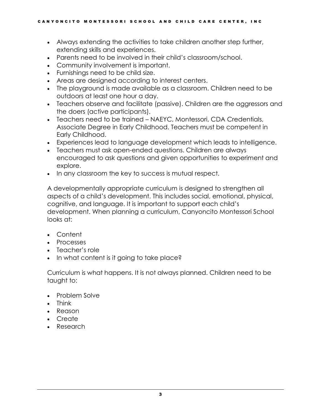- Always extending the activities to take children another step further, extending skills and experiences.
- Parents need to be involved in their child's classroom/school.
- Community involvement is important.
- Furnishings need to be child size.
- Areas are designed according to interest centers.
- The playground is made available as a classroom. Children need to be outdoors at least one hour a day.
- Teachers observe and facilitate (passive). Children are the aggressors and the doers (active participants).
- Teachers need to be trained NAEYC, Montessori, CDA Credentials, Associate Degree in Early Childhood. Teachers must be competent in Early Childhood.
- Experiences lead to language development which leads to intelligence.
- Teachers must ask open-ended questions. Children are always encouraged to ask questions and given opportunities to experiment and explore.
- In any classroom the key to success is mutual respect.

A developmentally appropriate curriculum is designed to strengthen all aspects of a child's development. This includes social, emotional, physical, cognitive, and language. It is important to support each child's development. When planning a curriculum, Canyoncito Montessori School looks at:

- Content
- Processes
- Teacher's role
- In what content is it going to take place?

Curriculum is what happens. It is not always planned. Children need to be taught to:

- Problem Solve
- Think
- Reason
- Create
- Research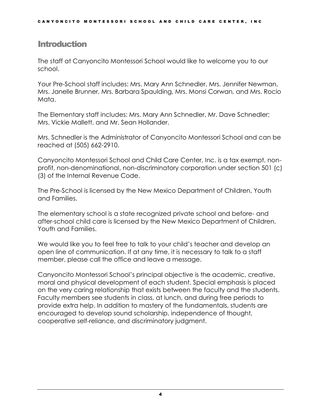#### <span id="page-6-0"></span>**Introduction**

The staff at Canyoncito Montessori School would like to welcome you to our school.

Your Pre-School staff includes: Mrs. Mary Ann Schnedler, Mrs. Jennifer Newman, Mrs. Janelle Brunner, Mrs. Barbara Spaulding, Mrs. Monsi Corwan, and Mrs. Rocio Mata.

The Elementary staff includes: Mrs. Mary Ann Schnedler, Mr. Dave Schnedler; Mrs. Vickie Mallett, and Mr. Sean Hollander.

Mrs. Schnedler is the Administrator of Canyoncito Montessori School and can be reached at (505) 662-2910.

Canyoncito Montessori School and Child Care Center, Inc. is a tax exempt, nonprofit, non-denominational, non-discriminatory corporation under section 501 (c) (3) of the Internal Revenue Code.

The Pre-School is licensed by the New Mexico Department of Children, Youth and Families.

The elementary school is a state recognized private school and before- and after-school child care is licensed by the New Mexico Department of Children, Youth and Families.

We would like you to feel free to talk to your child's teacher and develop an open line of communication. If at any time, it is necessary to talk to a staff member, please call the office and leave a message.

Canyoncito Montessori School's principal objective is the academic, creative, moral and physical development of each student. Special emphasis is placed on the very caring relationship that exists between the faculty and the students. Faculty members see students in class, at lunch, and during free periods to provide extra help. In addition to mastery of the fundamentals, students are encouraged to develop sound scholarship, independence of thought, cooperative self-reliance, and discriminatory judgment.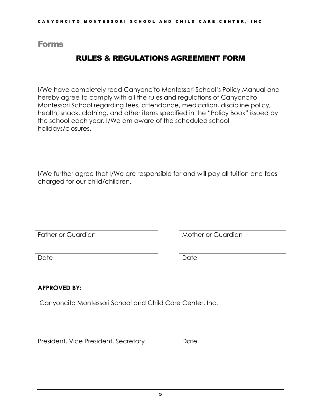#### <span id="page-7-1"></span><span id="page-7-0"></span>Forms

#### RULES & REGULATIONS AGREEMENT FORM

I/We have completely read Canyoncito Montessori School's Policy Manual and hereby agree to comply with all the rules and regulations of Canyoncito Montessori School regarding fees, attendance, medication, discipline policy, health, snack, clothing, and other items specified in the "Policy Book" issued by the school each year. I/We am aware of the scheduled school holidays/closures.

I/We further agree that I/We are responsible for and will pay all tuition and fees charged for our child/children.

Father or Guardian Theory and Mother or Guardian

Date Date

#### **APPROVED BY:**

Canyoncito Montessori School and Child Care Center, Inc.

President, Vice President, Secretary Date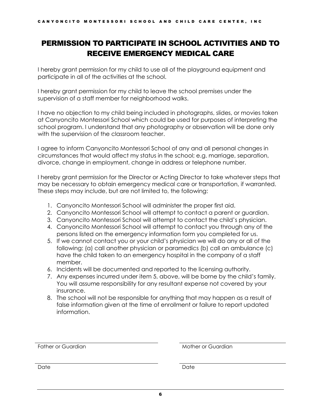#### <span id="page-8-0"></span>PERMISSION TO PARTICIPATE IN SCHOOL ACTIVITIES AND TO RECEIVE EMERGENCY MEDICAL CARE

I hereby grant permission for my child to use all of the playground equipment and participate in all of the activities at the school.

I hereby grant permission for my child to leave the school premises under the supervision of a staff member for neighborhood walks.

I have no objection to my child being included in photographs, slides, or movies taken at Canyoncito Montessori School which could be used for purposes of interpreting the school program. I understand that any photography or observation will be done only with the supervision of the classroom teacher.

I agree to inform Canyoncito Montessori School of any and all personal changes in circumstances that would affect my status in the school; e.g. marriage, separation, divorce, change in employment, change in address or telephone number.

I hereby grant permission for the Director or Acting Director to take whatever steps that may be necessary to obtain emergency medical care or transportation, if warranted. These steps may include, but are not limited to, the following:

- 1. Canyoncito Montessori School will administer the proper first aid.
- 2. Canyoncito Montessori School will attempt to contact a parent or guardian.
- 3. Canyoncito Montessori School will attempt to contact the child's physician.
- 4. Canyoncito Montessori School will attempt to contact you through any of the persons listed on the emergency information form you completed for us.
- 5. If we cannot contact you or your child's physician we will do any or all of the following: (a) call another physician or paramedics (b) call an ambulance (c) have the child taken to an emergency hospital in the company of a staff member.
- 6. Incidents will be documented and reported to the licensing authority.
- 7. Any expenses incurred under item 5, above, will be borne by the child's family. You will assume responsibility for any resultant expense not covered by your insurance.
- 8. The school will not be responsible for anything that may happen as a result of false information given at the time of enrollment or failure to report updated information.

Father or Guardian Theory of Guardian Mother or Guardian

Date Date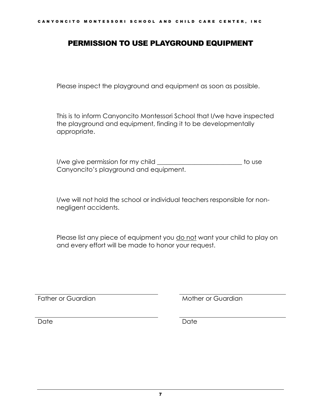#### <span id="page-9-0"></span>PERMISSION TO USE PLAYGROUND EQUIPMENT

Please inspect the playground and equipment as soon as possible.

This is to inform Canyoncito Montessori School that I/we have inspected the playground and equipment, finding it to be developmentally appropriate.

I/we give permission for my child **I** and the state of the use Canyoncito's playground and equipment.

I/we will not hold the school or individual teachers responsible for nonnegligent accidents.

Please list any piece of equipment you do not want your child to play on and every effort will be made to honor your request.

Father or Guardian Theory and Mother or Guardian

Date Date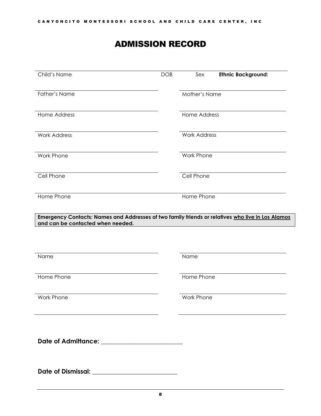# ADMISSION RECORD

<span id="page-10-0"></span>

| Child's Name                                                                                                                           | DOB | Sex                 | <b>Ethnic Background:</b> |
|----------------------------------------------------------------------------------------------------------------------------------------|-----|---------------------|---------------------------|
| <b>Father's Name</b>                                                                                                                   |     | Mother's Name       |                           |
| Home Address                                                                                                                           |     | <b>Home Address</b> |                           |
| <b>Work Address</b>                                                                                                                    |     | <b>Work Address</b> |                           |
| Work Phone                                                                                                                             |     | Work Phone          |                           |
| Cell Phone                                                                                                                             |     | Cell Phone          |                           |
| Home Phone                                                                                                                             |     | Home Phone          |                           |
| Emergency Contacts: Names and Addresses of two family friends or relatives who live in Los Alamos<br>and can be contacted when needed. |     |                     |                           |
|                                                                                                                                        |     |                     |                           |
| Name                                                                                                                                   |     | Name                |                           |
| Home Phone                                                                                                                             |     | Home Phone          |                           |
| <b>Work Phone</b>                                                                                                                      |     | Work Phone          |                           |
|                                                                                                                                        |     |                     |                           |
| Date of Admittance: ________________________                                                                                           |     |                     |                           |
|                                                                                                                                        |     |                     |                           |
|                                                                                                                                        |     |                     |                           |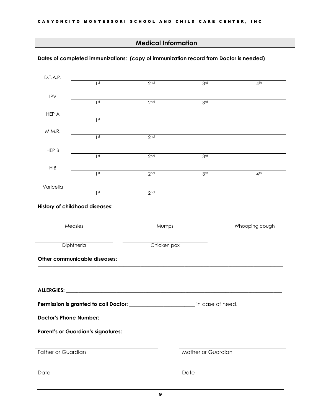#### **Medical Information**

#### **Dates of completed immunizations: (copy of immunization record from Doctor is needed)**

| D.T.A.P.                       | 1 <sup>st</sup>                                                                    | 2 <sub>nd</sub> | 3rd                | 4 <sup>th</sup> |
|--------------------------------|------------------------------------------------------------------------------------|-----------------|--------------------|-----------------|
|                                |                                                                                    |                 |                    |                 |
| <b>IPV</b>                     |                                                                                    |                 |                    |                 |
|                                | 1st                                                                                | 2 <sub>nd</sub> | 3rd                |                 |
| HEP A                          |                                                                                    |                 |                    |                 |
|                                | 1st                                                                                |                 |                    |                 |
| M.M.R.                         |                                                                                    |                 |                    |                 |
|                                | 1st                                                                                | 2 <sub>nd</sub> |                    |                 |
| HEP B                          |                                                                                    |                 |                    |                 |
|                                | 1st                                                                                | 2 <sub>nd</sub> | 3 <sub>rd</sub>    |                 |
| <b>HIB</b>                     |                                                                                    |                 |                    |                 |
|                                | 1st                                                                                | 2 <sub>nd</sub> | 3rd                | 4 <sup>th</sup> |
|                                |                                                                                    |                 |                    |                 |
| Varicella                      | 1 <sup>st</sup>                                                                    | 2 <sup>nd</sup> |                    |                 |
|                                |                                                                                    |                 |                    |                 |
| History of childhood diseases: |                                                                                    |                 |                    |                 |
|                                |                                                                                    |                 |                    |                 |
| Measles                        |                                                                                    | Mumps           |                    | Whooping cough  |
|                                |                                                                                    |                 |                    |                 |
| Diphtheria                     |                                                                                    | Chicken pox     |                    |                 |
|                                |                                                                                    |                 |                    |                 |
|                                | Other communicable diseases:                                                       |                 |                    |                 |
|                                |                                                                                    |                 |                    |                 |
|                                |                                                                                    |                 |                    |                 |
|                                |                                                                                    |                 |                    |                 |
|                                |                                                                                    |                 |                    |                 |
|                                |                                                                                    |                 |                    |                 |
|                                |                                                                                    |                 |                    |                 |
|                                | Permission is granted to call Doctor: ___________________________ in case of need. |                 |                    |                 |
|                                |                                                                                    |                 |                    |                 |
|                                |                                                                                    |                 |                    |                 |
|                                | <b>Parent's or Guardian's signatures:</b>                                          |                 |                    |                 |
|                                |                                                                                    |                 |                    |                 |
| <b>Father or Guardian</b>      |                                                                                    |                 | Mother or Guardian |                 |
|                                |                                                                                    |                 |                    |                 |
| Date                           |                                                                                    |                 | Date               |                 |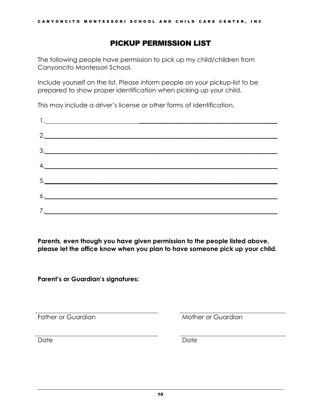#### PICKUP PERMISSION LIST

<span id="page-12-0"></span>The following people have permission to pick up my child/children from Canyoncito Montessori School.

Include yourself on the list. Please inform people on your pickup-list to be prepared to show proper identification when picking up your child.

This may include a driver's license or other forms of identification.

| 2.                                                                                            |  |
|-----------------------------------------------------------------------------------------------|--|
| $\begin{array}{c} \n \stackrel{\text{3.}}{ \quad \quad \quad \quad \quad } \\ \n \end{array}$ |  |
| 4.                                                                                            |  |
| $\begin{array}{c} 5. \end{array}$                                                             |  |
|                                                                                               |  |
|                                                                                               |  |
| $\delta$ .                                                                                    |  |

**Parents, even though you have given permission to the people listed above, please let the office know when you plan to have someone pick up your child.**

**Parent's or Guardian's signatures:**

Father or Guardian Table 10 and Mother or Guardian

Date Date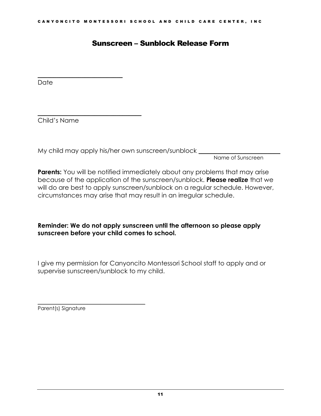#### Sunscreen – Sunblock Release Form

**Date** 

Child's Name

<span id="page-13-0"></span>\_\_\_\_\_\_\_\_\_\_\_\_\_\_\_\_\_\_\_\_\_\_\_\_\_\_\_

\_\_\_\_\_\_\_\_\_\_\_\_\_\_\_\_\_\_\_\_\_\_\_\_\_\_\_\_\_\_\_\_\_

My child may apply his/her own sunscreen/sunblock \_

Name of Sunscreen

**Parents:** You will be notified immediately about any problems that may arise because of the application of the sunscreen/sunblock. **Please realize** that we will do are best to apply sunscreen/sunblock on a regular schedule. However, circumstances may arise that may result in an irregular schedule.

#### **Reminder: We do not apply sunscreen until the afternoon so please apply sunscreen before your child comes to school.**

I give my permission for Canyoncito Montessori School staff to apply and or supervise sunscreen/sunblock to my child.

 $\mathcal{L}_\text{max}$  and  $\mathcal{L}_\text{max}$  and  $\mathcal{L}_\text{max}$  and  $\mathcal{L}_\text{max}$ Parent(s) Signature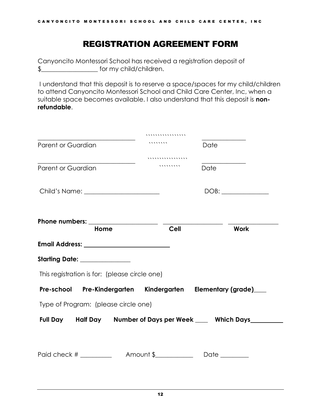## REGISTRATION AGREEMENT FORM

<span id="page-14-0"></span>Canyoncito Montessori School has received a registration deposit of \$\_\_\_\_\_\_\_\_\_\_\_\_\_\_\_\_\_\_ for my child/children.

I understand that this deposit is to reserve a space/spaces for my child/children to attend Canyoncito Montessori School and Child Care Center, Inc, when a suitable space becomes available. I also understand that this deposit is **nonrefundable**.

|                                               |      | ,,,,,,,,,,,,                                                    |               |             |
|-----------------------------------------------|------|-----------------------------------------------------------------|---------------|-------------|
| Parent or Guardian                            |      |                                                                 | Date          |             |
|                                               |      | .                                                               |               |             |
| Parent or Guardian                            |      | ,,,,,,,,,,                                                      | Date          |             |
|                                               |      |                                                                 |               |             |
|                                               | Home | <b>Cell</b>                                                     |               | <b>Work</b> |
|                                               |      |                                                                 |               |             |
|                                               |      |                                                                 |               |             |
| Starting Date: ______________                 |      |                                                                 |               |             |
| This registration is for: (please circle one) |      |                                                                 |               |             |
|                                               |      | Pre-school Pre-Kindergarten Kindergarten Elementary (grade)___  |               |             |
| Type of Program: (please circle one)          |      |                                                                 |               |             |
|                                               |      | Full Day Half Day Number of Days per Week ____ Which Days______ |               |             |
|                                               |      |                                                                 |               |             |
|                                               |      | Paid check $\#$ $\qquad$ $\qquad$ Amount \$                     | Date ________ |             |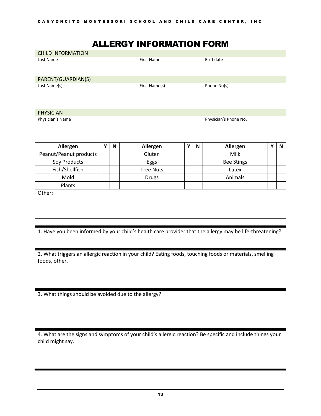## ALLERGY INFORMATION FORM

<span id="page-15-0"></span>

| <b>CHILD INFORMATION</b> |                   |              |
|--------------------------|-------------------|--------------|
| Last Name                | <b>First Name</b> | Birthdate    |
| PARENT/GUARDIAN(S)       |                   |              |
| Last Name(s)             | First Name(s)     | Phone No(s). |
| <b>PHYSICIAN</b>         |                   |              |

Physician's Name Physician's Phone No.

| Allergen               | Υ | N | Allergen         | v | N | Allergen          | Υ | N |
|------------------------|---|---|------------------|---|---|-------------------|---|---|
| Peanut/Peanut products |   |   | Gluten           |   |   | Milk              |   |   |
| Soy Products           |   |   | Eggs             |   |   | <b>Bee Stings</b> |   |   |
| Fish/Shellfish         |   |   | <b>Tree Nuts</b> |   |   | Latex             |   |   |
| Mold                   |   |   | <b>Drugs</b>     |   |   | Animals           |   |   |
| Plants                 |   |   |                  |   |   |                   |   |   |
| Other:                 |   |   |                  |   |   |                   |   |   |
|                        |   |   |                  |   |   |                   |   |   |
|                        |   |   |                  |   |   |                   |   |   |
|                        |   |   |                  |   |   |                   |   |   |

1. Have you been informed by your child's health care provider that the allergy may be life-threatening?

2. What triggers an allergic reaction in your child? Eating foods, touching foods or materials, smelling foods, other.

3. What things should be avoided due to the allergy?

4. What are the signs and symptoms of your child's allergic reaction? Be specific and include things your child might say.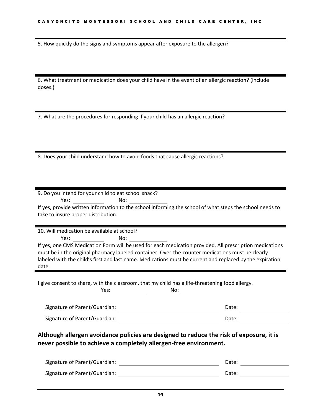5. How quickly do the signs and symptoms appear after exposure to the allergen?

6. What treatment or medication does your child have in the event of an allergic reaction? (include doses.)

7. What are the procedures for responding if your child has an allergic reaction?

8. Does your child understand how to avoid foods that cause allergic reactions?

| 9. Do you intend for your child to eat school snack?                                                     |       |
|----------------------------------------------------------------------------------------------------------|-------|
| No:<br>Yes:                                                                                              |       |
| If yes, provide written information to the school informing the school of what steps the school needs to |       |
| take to insure proper distribution.                                                                      |       |
|                                                                                                          |       |
|                                                                                                          |       |
| 10. Will medication be available at school?                                                              |       |
|                                                                                                          |       |
| If yes, one CMS Medication Form will be used for each medication provided. All prescription medications  |       |
| must be in the original pharmacy labeled container. Over-the-counter medications must be clearly         |       |
| labeled with the child's first and last name. Medications must be current and replaced by the expiration |       |
| date.                                                                                                    |       |
|                                                                                                          |       |
|                                                                                                          |       |
| I give consent to share, with the classroom, that my child has a life-threatening food allergy.          |       |
| Yes:                                                                                                     |       |
| No: $\qquad \qquad \qquad$                                                                               |       |
|                                                                                                          | Date: |
| Signature of Parent/Guardian:                                                                            |       |
| Signature of Parent/Guardian:                                                                            | Date: |
|                                                                                                          |       |
|                                                                                                          |       |
| Although allergen avoidance policies are designed to reduce the risk of exposure, it is                  |       |
| never possible to achieve a completely allergen-free environment.                                        |       |

| Signature of Parent/Guardian: | Date: |  |
|-------------------------------|-------|--|
| Signature of Parent/Guardian: | Date: |  |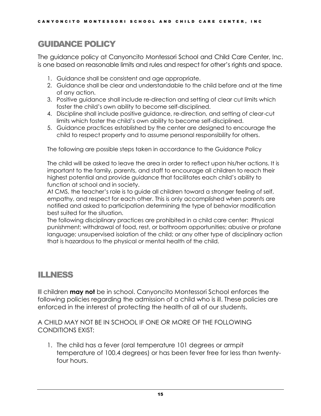# <span id="page-17-0"></span>GUIDANCE POLICY

The guidance policy at Canyoncito Montessori School and Child Care Center, Inc. is one based on reasonable limits and rules and respect for other's rights and space.

- 1. Guidance shall be consistent and age appropriate.
- 2. Guidance shall be clear and understandable to the child before and at the time of any action.
- 3. Positive guidance shall include re-direction and setting of clear cut limits which foster the child's own ability to become self-disciplined.
- 4. Discipline shall include positive guidance, re-direction, and setting of clear-cut limits which foster the child's own ability to become self-disciplined.
- 5. Guidance practices established by the center are designed to encourage the child to respect property and to assume personal responsibility for others.

The following are possible steps taken in accordance to the Guidance Policy

The child will be asked to leave the area in order to reflect upon his/her actions. It is important to the family, parents, and staff to encourage all children to reach their highest potential and provide guidance that facilitates each child's ability to function at school and in society.

At CMS, the teacher's role is to guide all children toward a stronger feeling of self, empathy, and respect for each other. This is only accomplished when parents are notified and asked to participation determining the type of behavior modification best suited for the situation.

The following disciplinary practices are prohibited in a child care center: Physical punishment; withdrawal of food, rest, or bathroom opportunities; abusive or profane language; unsupervised isolation of the child; or any other type of disciplinary action that is hazardous to the physical or mental health of the child.

# <span id="page-17-1"></span>ILLNESS

Ill children **may not** be in school. Canyoncito Montessori School enforces the following policies regarding the admission of a child who is ill. These policies are enforced in the interest of protecting the health of all of our students.

A CHILD MAY NOT BE IN SCHOOL IF ONE OR MORE OF THE FOLLOWING CONDITIONS EXIST:

1. The child has a fever (oral temperature 101 degrees or armpit temperature of 100.4 degrees) or has been fever free for less than twentyfour hours.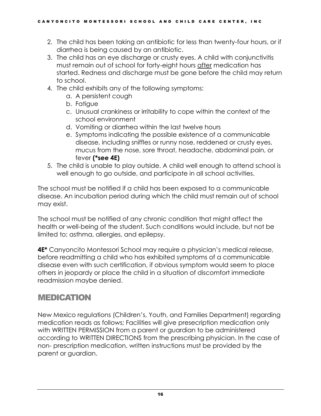- 2. The child has been taking an antibiotic for less than twenty-four hours, or if diarrhea is being caused by an antibiotic.
- 3. The child has an eye discharge or crusty eyes. A child with conjunctivitis must remain out of school for forty-eight hours after medication has started. Redness and discharge must be gone before the child may return to school.
- 4. The child exhibits any of the following symptoms:
	- a. A persistent cough
	- b. Fatigue
	- c. Unusual crankiness or irritability to cope within the context of the school environment
	- d. Vomiting or diarrhea within the last twelve hours
	- e. Symptoms indicating the possible existence of a communicable disease, including sniffles or runny nose, reddened or crusty eyes, mucus from the nose, sore throat, headache, abdominal pain, or fever **(\*see 4E)**
- 5. The child is unable to play outside. A child well enough to attend school is well enough to go outside, and participate in all school activities.

The school must be notified if a child has been exposed to a communicable disease. An incubation period during which the child must remain out of school may exist.

The school must be notified of any chronic condition that might affect the health or well-being of the student. Such conditions would include, but not be limited to; asthma, allergies, and epilepsy.

**4E\*** Canyoncito Montessori School may require a physician's medical release, before readmitting a child who has exhibited symptoms of a communicable disease even with such certification, if obvious symptom would seem to place others in jeopardy or place the child in a situation of discomfort immediate readmission maybe denied.

# <span id="page-18-0"></span>MEDICATION

New Mexico regulations (Children's, Youth, and Families Department) regarding medication reads as follows; Facilities will give presecription medication only with WRITTEN PERMISSION from a parent or guardian to be administered according to WRITTEN DIRECTIONS from the prescribing physician. In the case of non- prescription medication, written instructions must be provided by the parent or guardian.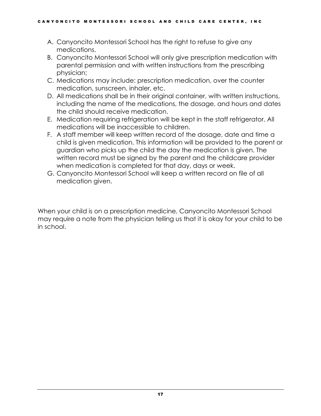- A. Canyoncito Montessori School has the right to refuse to give any medications.
- B. Canyoncito Montessori School will only give prescription medication with parental permission and with written instructions from the prescribing physician;
- C. Medications may include: prescription medication, over the counter medication, sunscreen, inhaler, etc.
- D. All medications shall be in their original container, with written instructions, including the name of the medications, the dosage, and hours and dates the child should receive medication.
- E. Medication requiring refrigeration will be kept in the staff refrigerator. All medications will be inaccessible to children.
- F. A staff member will keep written record of the dosage, date and time a child is given medication. This information will be provided to the parent or guardian who picks up the child the day the medication is given. The written record must be signed by the parent and the childcare provider when medication is completed for that day, days or week.
- G. Canyoncito Montessori School will keep a written record on file of all medication given.

When your child is on a prescription medicine, Canyoncito Montessori School may require a note from the physician telling us that it is okay for your child to be in school.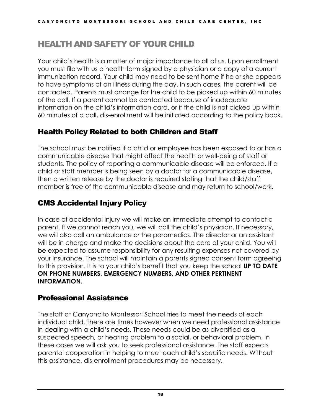# <span id="page-20-0"></span>HEALTH AND SAFETY OF YOUR CHILD

Your child's health is a matter of major importance to all of us. Upon enrollment you must file with us a health form signed by a physician or a copy of a current immunization record. Your child may need to be sent home if he or she appears to have symptoms of an illness during the day. In such cases, the parent will be contacted. Parents must arrange for the child to be picked up within 60 minutes of the call. If a parent cannot be contacted because of inadequate information on the child's information card, or if the child is not picked up within 60 minutes of a call, dis-enrollment will be initiated according to the policy book.

#### <span id="page-20-1"></span>Health Policy Related to both Children and Staff

The school must be notified if a child or employee has been exposed to or has a communicable disease that might affect the health or well-being of staff or students. The policy of reporting a communicable disease will be enforced. If a child or staff member is being seen by a doctor for a communicable disease, then a written release by the doctor is required stating that the child/staff member is free of the communicable disease and may return to school/work.

#### <span id="page-20-2"></span>CMS Accidental Injury Policy

In case of accidental injury we will make an immediate attempt to contact a parent. If we cannot reach you, we will call the child's physician. If necessary, we will also call an ambulance or the paramedics. The director or an assistant will be in charge and make the decisions about the care of your child. You will be expected to assume responsibility for any resulting expenses not covered by your insurance. The school will maintain a parents signed consent form agreeing to this provision. It is to your child's benefit that you keep the school **UP TO DATE ON PHONE NUMBERS, EMERGENCY NUMBERS, AND OTHER PERTINENT INFORMATION.**

#### <span id="page-20-3"></span>Professional Assistance

The staff at Canyoncito Montessori School tries to meet the needs of each individual child. There are times however when we need professional assistance in dealing with a child's needs. These needs could be as diversified as a suspected speech, or hearing problem to a social, or behavioral problem. In these cases we will ask you to seek professional assistance. The staff expects parental cooperation in helping to meet each child's specific needs. Without this assistance, dis-enrollment procedures may be necessary.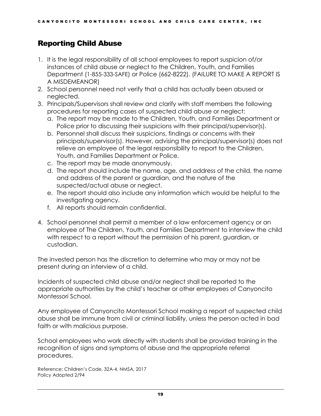#### <span id="page-21-0"></span>Reporting Child Abuse

- 1. It is the legal responsibility of all school employees to report suspicion of/or instances of child abuse or neglect to the Children, Youth, and Families Department (1-855-333-SAFE) or Police (662-8222). (FAILURE TO MAKE A REPORT IS A MISDEMEANOR)
- 2. School personnel need not verify that a child has actually been abused or neglected.
- 3. Principals/Supervisors shall review and clarify with staff members the following procedures for reporting cases of suspected child abuse or neglect:
	- a. The report may be made to the Children, Youth, and Families Department or Police prior to discussing their suspicions with their principal/supervisor(s).
	- b. Personnel shall discuss their suspicions, findings or concerns with their principals/supervisor(s). However, advising the principal/supervisor(s) does not relieve an employee of the legal responsibility to report to the Children, Youth, and Families Department or Police.
	- c. The report may be made anonymously.
	- d. The report should include the name, age, and address of the child, the name and address of the parent or guardian, and the nature of the suspected/actual abuse or neglect.
	- e. The report should also include any information which would be helpful to the investigating agency.
	- f. All reports should remain confidential.
- 4. School personnel shall permit a member of a law enforcement agency or an employee of The Children, Youth, and Families Department to interview the child with respect to a report without the permission of his parent, guardian, or custodian.

The invested person has the discretion to determine who may or may not be present during an interview of a child.

Incidents of suspected child abuse and/or neglect shall be reported to the appropriate authorities by the child's teacher or other employees of Canyoncito Montessori School.

Any employee of Canyoncito Montessori School making a report of suspected child abuse shall be immune from civil or criminal liability, unless the person acted in bad faith or with malicious purpose.

School employees who work directly with students shall be provided training in the recognition of signs and symptoms of abuse and the appropriate referral procedures.

Reference: Children's Code, 32A-4, NMSA, 2017 Policy Adopted 2/94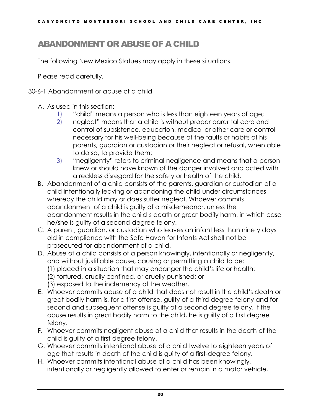# <span id="page-22-0"></span>ABANDONMENT OR ABUSE OF A CHILD

The following New Mexico Statues may apply in these situations.

Please read carefully.

30-6-1 Abandonment or abuse of a child

- A. As used in this section:
	- 1) "child" means a person who is less than eighteen years of age;
	- 2) neglect" means that a child is without proper parental care and control of subsistence, education, medical or other care or control necessary for his well-being because of the faults or habits of his parents, guardian or custodian or their neglect or refusal, when able to do so, to provide them;
	- 3) "negligently" refers to criminal negligence and means that a person knew or should have known of the danger involved and acted with a reckless disregard for the safety or health of the child.
- B. Abandonment of a child consists of the parents, guardian or custodian of a child intentionally leaving or abandoning the child under circumstances whereby the child may or does suffer neglect. Whoever commits abandonment of a child is guilty of a misdemeanor, unless the abandonment results in the child's death or great bodily harm, in which case he/she is guilty of a second-degree felony.
- C. A parent, guardian, or custodian who leaves an infant less than ninety days old in compliance with the Safe Haven for Infants Act shall not be prosecuted for abandonment of a child.
- D. Abuse of a child consists of a person knowingly, intentionally or negligently, and without justifiable cause, causing or permitting a child to be:
	- (1) placed in a situation that may endanger the child's life or health:
	- (2) tortured, cruelly confined, or cruelly punished; or
	- (3) exposed to the inclemency of the weather.
- E. Whoever commits abuse of a child that does not result in the child's death or great bodily harm is, for a first offense, guilty of a third degree felony and for second and subsequent offense is guilty of a second degree felony. If the abuse results in great bodily harm to the child, he is guilty of a first degree felony.
- F. Whoever commits negligent abuse of a child that results in the death of the child is guilty of a first degree felony.
- G. Whoever commits intentional abuse of a child twelve to eighteen years of age that results in death of the child is guilty of a first-degree felony.
- H. Whoever commits intentional abuse of a child has been knowingly, intentionally or negligently allowed to enter or remain in a motor vehicle,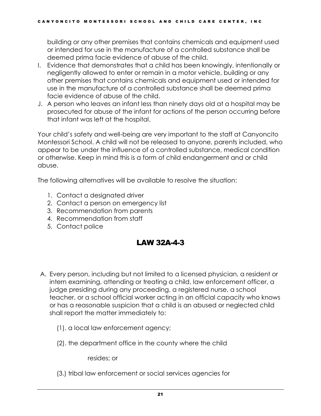building or any other premises that contains chemicals and equipment used or intended for use in the manufacture of a controlled substance shall be deemed prima facie evidence of abuse of the child.

- I. Evidence that demonstrates that a child has been knowingly, intentionally or negligently allowed to enter or remain in a motor vehicle, building or any other premises that contains chemicals and equipment used or intended for use in the manufacture of a controlled substance shall be deemed prima facie evidence of abuse of the child.
- J. A person who leaves an infant less than ninety days old at a hospital may be prosecuted for abuse of the infant for actions of the person occurring before that infant was left at the hospital.

Your child's safety and well-being are very important to the staff at Canyoncito Montessori School. A child will not be released to anyone, parents included, who appear to be under the influence of a controlled substance, medical condition or otherwise. Keep in mind this is a form of child endangerment and or child abuse.

The following alternatives will be available to resolve the situation:

- 1. Contact a designated driver
- 2. Contact a person on emergency list
- 3. Recommendation from parents
- 4. Recommendation from staff
- <span id="page-23-0"></span>5. Contact police

#### LAW 32A-4-3

- A. Every person, including but not limited to a licensed physician, a resident or intern examining, attending or treating a child, law enforcement officer, a judge presiding during any proceeding, a registered nurse, a school teacher, or a school official worker acting in an official capacity who knows or has a reasonable suspicion that a child is an abused or neglected child shall report the matter immediately to:
	- (1). a local law enforcement agency;
	- (2). the department office in the county where the child

resides; or

(3.) tribal law enforcement or social services agencies for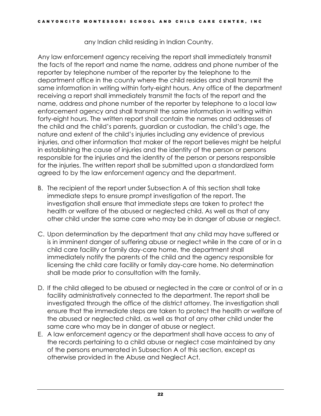any Indian child residing in Indian Country.

Any law enforcement agency receiving the report shall immediately transmit the facts of the report and name the name, address and phone number of the reporter by telephone number of the reporter by the telephone to the department office in the county where the child resides and shall transmit the same information in writing within forty-eight hours. Any office of the department receiving a report shall immediately transmit the facts of the report and the name, address and phone number of the reporter by telephone to a local law enforcement agency and shall transmit the same information in writing within forty-eight hours. The written report shall contain the names and addresses of the child and the child's parents, guardian or custodian, the child's age, the nature and extent of the child's injuries including any evidence of previous injuries, and other information that maker of the report believes might be helpful in establishing the cause of injuries and the identity of the person or persons responsible for the injuries and the identity of the person or persons responsible for the injuries. The written report shall be submitted upon a standardized form agreed to by the law enforcement agency and the department.

- B. The recipient of the report under Subsection A of this section shall take immediate steps to ensure prompt investigation of the report. The investigation shall ensure that immediate steps are taken to protect the health or welfare of the abused or neglected child. As well as that of any other child under the same care who may be in danger of abuse or neglect.
- C. Upon determination by the department that any child may have suffered or is in imminent danger of suffering abuse or neglect while in the care of or in a child care facility or family day-care home, the department shall immediately notify the parents of the child and the agency responsible for licensing the child care facility or family day-care home. No determination shall be made prior to consultation with the family.
- D. If the child alleged to be abused or neglected in the care or control of or in a facility administratively connected to the department. The report shall be investigated through the office of the district attorney. The investigation shall ensure that the immediate steps are taken to protect the health or welfare of the abused or neglected child, as well as that of any other child under the same care who may be in danger of abuse or neglect.
- E. A law enforcement agency or the department shall have access to any of the records pertaining to a child abuse or neglect case maintained by any of the persons enumerated in Subsection A of this section, except as otherwise provided in the Abuse and Neglect Act.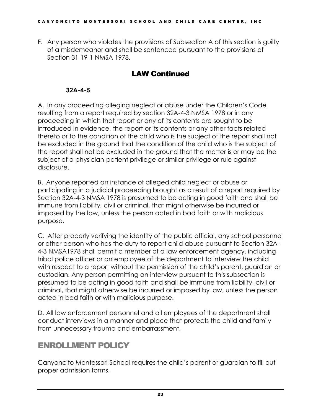<span id="page-25-0"></span>F. Any person who violates the provisions of Subsection A of this section is guilty of a misdemeanor and shall be sentenced pursuant to the provisions of Section 31-19-1 NMSA 1978.

#### LAW Continued

#### **32A-4-5**

A. In any proceeding alleging neglect or abuse under the Children's Code resulting from a report required by section 32A-4-3 NMSA 1978 or in any proceeding in which that report or any of its contents are sought to be introduced in evidence, the report or its contents or any other facts related thereto or to the condition of the child who is the subject of the report shall not be excluded in the ground that the condition of the child who is the subject of the report shall not be excluded in the ground that the matter is or may be the subject of a physician-patient privilege or similar privilege or rule against disclosure.

B. Anyone reported an instance of alleged child neglect or abuse or participating in a judicial proceeding brought as a result of a report required by Section 32A-4-3 NMSA 1978 is presumed to be acting in good faith and shall be immune from liability, civil or criminal, that might otherwise be incurred or imposed by the law, unless the person acted in bad faith or with malicious purpose.

C. After properly verifying the identity of the public official, any school personnel or other person who has the duty to report child abuse pursuant to Section 32A-4-3 NMSA1978 shall permit a member of a law enforcement agency, including tribal police officer or an employee of the department to interview the child with respect to a report without the permission of the child's parent, guardian or custodian. Any person permitting an interview pursuant to this subsection is presumed to be acting in good faith and shall be immune from liability, civil or criminal, that might otherwise be incurred or imposed by law, unless the person acted in bad faith or with malicious purpose.

D. All law enforcement personnel and all employees of the department shall conduct interviews in a manner and place that protects the child and family from unnecessary trauma and embarrassment.

# <span id="page-25-1"></span>ENROLLMENT POLICY

Canyoncito Montessori School requires the child's parent or guardian to fill out proper admission forms.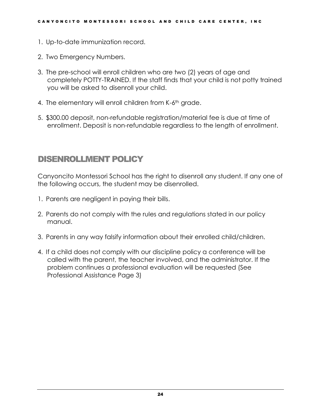- 1. Up-to-date immunization record.
- 2. Two Emergency Numbers.
- 3. The pre-school will enroll children who are two (2) years of age and completely POTTY-TRAINED. If the staff finds that your child is not potty trained you will be asked to disenroll your child.
- 4. The elementary will enroll children from K-6<sup>th</sup> grade.
- 5. \$300.00 deposit, non-refundable registration/material fee is due at time of enrollment. Deposit is non-refundable regardless to the length of enrollment.

## <span id="page-26-0"></span>DISENROLLMENT POLICY

Canyoncito Montessori School has the right to disenroll any student. If any one of the following occurs, the student may be disenrolled.

- 1. Parents are negligent in paying their bills.
- 2. Parents do not comply with the rules and regulations stated in our policy manual.
- 3. Parents in any way falsify information about their enrolled child/children.
- 4. If a child does not comply with our discipline policy a conference will be called with the parent, the teacher involved, and the administrator. If the problem continues a professional evaluation will be requested (See Professional Assistance Page 3)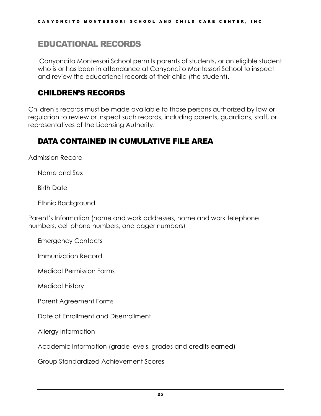#### <span id="page-27-0"></span>EDUCATIONAL RECORDS

Canyoncito Montessori School permits parents of students, or an eligible student who is or has been in attendance at Canyoncito Montessori School to inspect and review the educational records of their child (the student).

#### <span id="page-27-1"></span>CHILDREN'S RECORDS

Children's records must be made available to those persons authorized by law or regulation to review or inspect such records, including parents, guardians, staff, or representatives of the Licensing Authority.

#### <span id="page-27-2"></span>DATA CONTAINED IN CUMULATIVE FILE AREA

Admission Record

Name and Sex

Birth Date

Ethnic Background

Parent's Information (home and work addresses, home and work telephone numbers, cell phone numbers, and pager numbers)

Emergency Contacts

Immunization Record

Medical Permission Forms

Medical History

Parent Agreement Forms

Date of Enrollment and Disenrollment

Allergy Information

Academic Information (grade levels, grades and credits earned)

Group Standardized Achievement Scores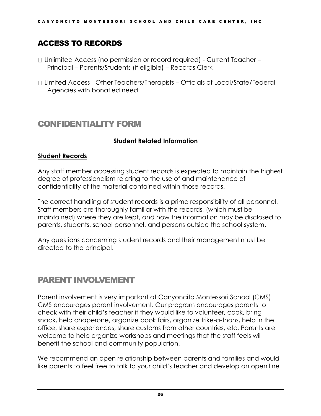#### <span id="page-28-0"></span>ACCESS TO RECORDS

- □ Unlimited Access (no permission or record required) Current Teacher Principal – Parents/Students (if eligible) – Records Clerk
- Limited Access Other Teachers/Therapists Officials of Local/State/Federal Agencies with bonafied need.

#### <span id="page-28-1"></span>CONFIDENTIALITY FORM

#### **Student Related Information**

#### **Student Records**

Any staff member accessing student records is expected to maintain the highest degree of professionalism relating to the use of and maintenance of confidentiality of the material contained within those records.

The correct handling of student records is a prime responsibility of all personnel. Staff members are thoroughly familiar with the records, (which must be maintained) where they are kept, and how the information may be disclosed to parents, students, school personnel, and persons outside the school system.

Any questions concerning student records and their management must be directed to the principal.

## <span id="page-28-2"></span>PARENT INVOLVEMENT

Parent involvement is very important at Canyoncito Montessori School (CMS). CMS encourages parent involvement. Our program encourages parents to check with their child's teacher if they would like to volunteer, cook, bring snack, help chaperone, organize book fairs, organize trike-a-thons, help in the office, share experiences, share customs from other countries, etc. Parents are welcome to help organize workshops and meetings that the staff feels will benefit the school and community population.

We recommend an open relationship between parents and families and would like parents to feel free to talk to your child's teacher and develop an open line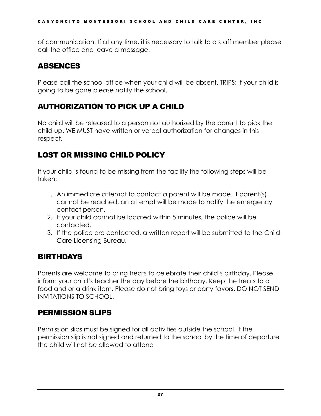of communication. If at any time, it is necessary to talk to a staff member please call the office and leave a message.

#### <span id="page-29-0"></span>ABSENCES

Please call the school office when your child will be absent. TRIPS: If your child is going to be gone please notify the school.

# <span id="page-29-1"></span>AUTHORIZATION TO PICK UP A CHILD

No child will be released to a person not authorized by the parent to pick the child up. WE MUST have written or verbal authorization for changes in this respect.

# <span id="page-29-2"></span>LOST OR MISSING CHILD POLICY

If your child is found to be missing from the facility the following steps will be taken;

- 1. An immediate attempt to contact a parent will be made. If parent(s) cannot be reached, an attempt will be made to notify the emergency contact person.
- 2. If your child cannot be located within 5 minutes, the police will be contacted.
- 3. If the police are contacted, a written report will be submitted to the Child Care Licensing Bureau.

#### <span id="page-29-3"></span>BIRTHDAYS

Parents are welcome to bring treats to celebrate their child's birthday. Please inform your child's teacher the day before the birthday. Keep the treats to a food and or a drink item. Please do not bring toys or party favors. DO NOT SEND INVITATIONS TO SCHOOL.

#### <span id="page-29-4"></span>PERMISSION SLIPS

Permission slips must be signed for all activities outside the school. If the permission slip is not signed and returned to the school by the time of departure the child will not be allowed to attend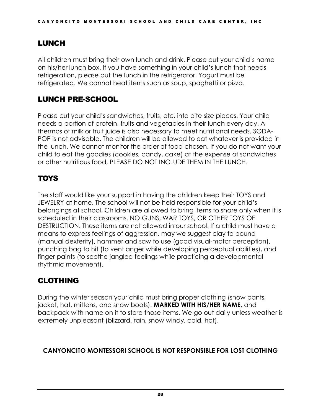#### <span id="page-30-0"></span>LUNCH

All children must bring their own lunch and drink. Please put your child's name on his/her lunch box. If you have something in your child's lunch that needs refrigeration, please put the lunch in the refrigerator. Yogurt must be refrigerated. We cannot heat items such as soup, spaghetti or pizza.

## <span id="page-30-1"></span>LUNCH PRE-SCHOOL

Please cut your child's sandwiches, fruits, etc. into bite size pieces. Your child needs a portion of protein, fruits and vegetables in their lunch every day. A thermos of milk or fruit juice is also necessary to meet nutritional needs. SODA-POP is not advisable. The children will be allowed to eat whatever is provided in the lunch. We cannot monitor the order of food chosen. If you do not want your child to eat the goodies (cookies, candy, cake) at the expense of sandwiches or other nutritious food, PLEASE DO NOT INCLUDE THEM IN THE LUNCH.

## <span id="page-30-2"></span>TOYS

The staff would like your support in having the children keep their TOYS and JEWELRY at home. The school will not be held responsible for your child's belongings at school. Children are allowed to bring items to share only when it is scheduled in their classrooms. NO GUNS, WAR TOYS, OR OTHER TOYS OF DESTRUCTION. These items are not allowed in our school. If a child must have a means to express feelings of aggression, may we suggest clay to pound (manual dexterity), hammer and saw to use (good visual-motor perception), punching bag to hit (to vent anger while developing perceptual abilities), and finger paints (to soothe jangled feelings while practicing a developmental rhythmic movement).

## <span id="page-30-3"></span>CLOTHING

During the winter season your child must bring proper clothing (snow pants, jacket, hat, mittens, and snow boots). **MARKED WITH HIS/HER NAME,** and backpack with name on it to store those items. We go out daily unless weather is extremely unpleasant (blizzard, rain, snow windy, cold, hot).

#### **CANYONCITO MONTESSORI SCHOOL IS NOT RESPONSIBLE FOR LOST CLOTHING**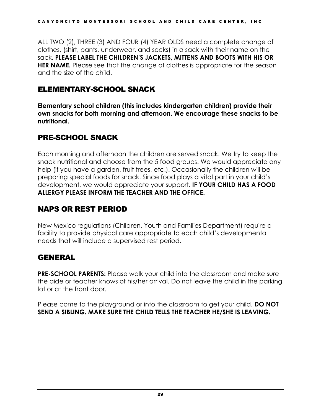ALL TWO (2), THREE (3) AND FOUR (4) YEAR OLDS need a complete change of clothes, (shirt, pants, underwear, and socks) in a sack with their name on the sack. **PLEASE LABEL THE CHILDREN'S JACKETS, MITTENS AND BOOTS WITH HIS OR HER NAME.** Please see that the change of clothes is appropriate for the season and the size of the child.

#### <span id="page-31-0"></span>ELEMENTARY-SCHOOL SNACK

**Elementary school children (this includes kindergarten children) provide their own snacks for both morning and afternoon. We encourage these snacks to be nutritional.**

## <span id="page-31-1"></span>PRE-SCHOOL SNACK

Each morning and afternoon the children are served snack. We try to keep the snack nutritional and choose from the 5 food groups. We would appreciate any help (if you have a garden, fruit trees, etc.). Occasionally the children will be preparing special foods for snack. Since food plays a vital part in your child's development, we would appreciate your support. **IF YOUR CHILD HAS A FOOD ALLERGY PLEASE INFORM THE TEACHER AND THE OFFICE.**

# <span id="page-31-2"></span>NAPS OR REST PERIOD

New Mexico regulations (Children, Youth and Families Department) require a facility to provide physical care appropriate to each child's developmental needs that will include a supervised rest period.

#### <span id="page-31-3"></span>GENERAL

**PRE-SCHOOL PARENTS:** Please walk your child into the classroom and make sure the aide or teacher knows of his/her arrival. Do not leave the child in the parking lot or at the front door.

Please come to the playground or into the classroom to get your child. **DO NOT SEND A SIBLING. MAKE SURE THE CHILD TELLS THE TEACHER HE/SHE IS LEAVING.**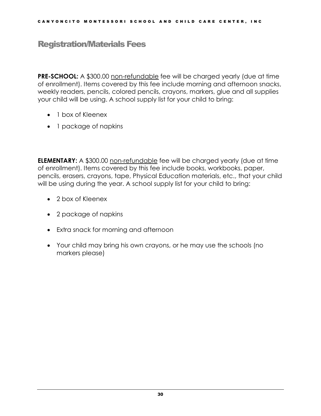#### <span id="page-32-0"></span>Registration/Materials Fees

**PRE-SCHOOL:** A \$300.00 non-refundable fee will be charged yearly (due at time of enrollment). Items covered by this fee include morning and afternoon snacks, weekly readers, pencils, colored pencils, crayons, markers, glue and all supplies your child will be using. A school supply list for your child to bring:

- 1 box of Kleenex
- 1 package of napkins

**ELEMENTARY:** A \$300.00 non-refundable fee will be charged yearly (due at time of enrollment). Items covered by this fee include books, workbooks, paper, pencils, erasers, crayons, tape, Physical Education materials, etc., that your child will be using during the year. A school supply list for your child to bring:

- 2 box of Kleenex
- 2 package of napkins
- Extra snack for morning and afternoon
- Your child may bring his own crayons, or he may use the schools (no markers please)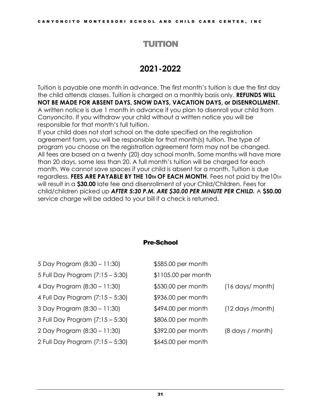#### TUITION

# **2021-2022**

<span id="page-33-0"></span>Tuition is payable one month in advance. The first month's tuition is due the first day the child attends classes. Tuition is charged on a monthly basis only. **REFUNDS WILL NOT BE MADE FOR ABSENT DAYS, SNOW DAYS, VACATION DAYS, or DISENROLLMENT.**  A written notice is due 1 month in advance if you plan to disenroll your child from Canyoncito. If you withdraw your child without a written notice you will be responsible for that month's full tuition.

If your child does not start school on the date specified on the registration agreement form, you will be responsible for that month(s) tuition. The type of program you choose on the registration agreement form may not be changed. All fees are based on a twenty (20) day school month. Some months will have more than 20 days, some less than 20. A full month's tuition will be charged for each month. We cannot save spaces if your child is absent for a month. Tuition is due regardless. **FEES ARE PAYABLE BY THE 10TH OF EACH MONTH**. Fees not paid by the10TH will result in a **\$30.00** late fee and disenrollment of your Child/Children. Fees for child/children picked up *AFTER 5:30 P.M. ARE \$30.00 PER MINUTE PER CHILD.* A **\$50.00**  service charge will be added to your bill if a check is returned.

#### Pre-School

| 5 Day Program (8:30 - 11:30)     | \$585.00 per month  |                                   |
|----------------------------------|---------------------|-----------------------------------|
| 5 Full Day Program (7:15 - 5:30) | \$1105.00 per month |                                   |
| 4 Day Program (8:30 – 11:30)     | \$530.00 per month  | (16 days/ month)                  |
| 4 Full Day Program (7:15 – 5:30) | \$936.00 per month  |                                   |
| 3 Day Program (8:30 – 11:30)     | \$494.00 per month  | (12 days /month)                  |
| 3 Full Day Program (7:15 - 5:30) | \$806.00 per month  |                                   |
| 2 Day Program (8:30 - 11:30)     | \$392.00 per month  | $(8 \text{ days} / \text{month})$ |
| 2 Full Day Program (7:15 – 5:30) | \$645.00 per month  |                                   |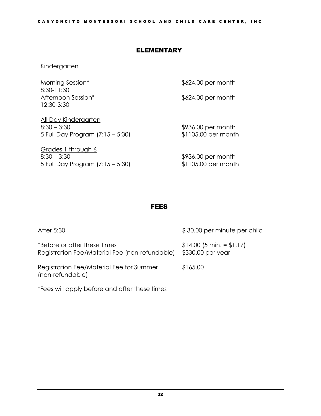#### ELEMENTARY

#### **Kindergarten**

| Morning Session*<br>8:30-11:30                                            | \$624.00 per month                        |
|---------------------------------------------------------------------------|-------------------------------------------|
| Afternoon Session*<br>12:30-3:30                                          | \$624.00 per month                        |
| All Day Kindergarten<br>$8:30 - 3:30$<br>5 Full Day Program (7:15 – 5:30) | \$936.00 per month<br>\$1105.00 per month |
| $C$ rados 1 through $\angle$                                              |                                           |

Grades 1 through 6  $8:30 - 3:30$ 5 Full Day Program (7:15 – 5:30)

\$936.00 per month \$1105.00 per month

#### FEES

| After 5:30                                                                     | \$30.00 per minute per child                      |
|--------------------------------------------------------------------------------|---------------------------------------------------|
| *Before or after these times<br>Registration Fee/Material Fee (non-refundable) | $$14.00$ (5 min. = $$1.17$ )<br>\$330.00 per year |
| Registration Fee/Material Fee for Summer<br>(non-refundable)                   | \$165.00                                          |

\*Fees will apply before and after these times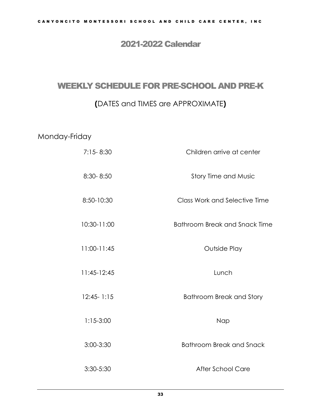#### 2021-2022 Calendar

# <span id="page-35-1"></span><span id="page-35-0"></span>WEEKLY SCHEDULE FOR PRE-SCHOOL AND PRE-K

#### **(**DATES and TIMES are APPROXIMATE**)**

#### Monday-Friday

| $7:15 - 8:30$  | Children arrive at center            |
|----------------|--------------------------------------|
| 8:30-8:50      | Story Time and Music                 |
| 8:50-10:30     | <b>Class Work and Selective Time</b> |
| 10:30-11:00    | Bathroom Break and Snack Time        |
| 11:00-11:45    | Outside Play                         |
| $11:45-12:45$  | Lunch                                |
| $12:45 - 1:15$ | <b>Bathroom Break and Story</b>      |
| $1:15-3:00$    | Nap                                  |
| 3:00-3:30      | <b>Bathroom Break and Snack</b>      |
| 3:30-5:30      | <b>After School Care</b>             |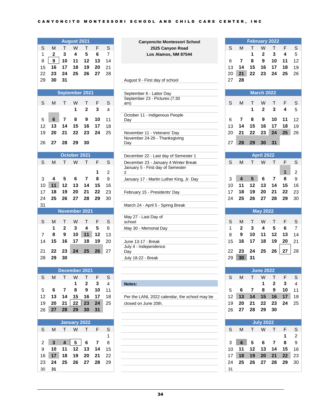|                |                |                         | <b>August 2021</b>  |                               |                |                | <b>Canyoncito Montessori School</b>                          |         |                         |         |                   | February 2022  |         |                  |
|----------------|----------------|-------------------------|---------------------|-------------------------------|----------------|----------------|--------------------------------------------------------------|---------|-------------------------|---------|-------------------|----------------|---------|------------------|
| S              | M              | т                       | W                   | т                             | F              | $\mathsf S$    | 2525 Canyon Road                                             | S       | M                       | т       | W                 | т              | F       | $\mathsf S$      |
| 1              | $\overline{2}$ | 3                       | 4                   | 5                             | $\bf 6$        | $\overline{7}$ | Los Alamos, NM 87544                                         |         |                         | 1       | $\mathbf 2$       | 3              | 4       | $\sqrt{5}$       |
| 8              | $\bf{9}$       | 10                      | 11                  | 12                            | 13             | 14             |                                                              | 6       | $\overline{\mathbf{r}}$ | 8       | $\boldsymbol{9}$  | 10             | 11      | 12               |
| 15             | 16             | 17                      | 18                  | 19                            | 20             | 21             |                                                              | 13      | 14                      | 15      | 16                | 17             | 18      | 19               |
| 22             | 23             | 24                      | 25                  | 26                            | 27             | 28             |                                                              | 20      | 21                      | 22      | 23                | 24             | 25      | 26               |
| 29             | 30             | 31                      |                     |                               |                |                | August 9 - First day of school                               | 27      | 28                      |         |                   |                |         |                  |
|                |                |                         |                     |                               |                |                |                                                              |         |                         |         |                   |                |         |                  |
|                |                |                         | September 2021      |                               |                |                | September 6 - Labor Day<br>September 23 - Pictures (7:30     |         |                         |         | <b>March 2022</b> |                |         |                  |
| S              | M              | т                       | W                   | т                             | F              | S              | am)                                                          | S       | M                       | т       | W                 | т              | F       | S                |
|                |                |                         | 1                   | $\mathbf 2$                   | 3              | 4              |                                                              |         |                         | 1       | $\overline{2}$    | 3              | 4       | 5                |
|                |                |                         |                     |                               |                |                | October 11 - Indigenous People                               |         |                         |         |                   |                |         |                  |
| 5              | 6              | $\overline{\mathbf{r}}$ | 8                   | 9                             | 10             | 11             | Day                                                          | 6       | $\overline{\mathbf{r}}$ | 8       | 9                 | 10             | 11      | 12               |
| 12             | 13             | 14                      | 15                  | 16                            | 17             | 18             |                                                              | 13      | 14                      | 15      | 16                | 17             | 18      | 19               |
| 19             | 20             | 21                      | 22                  | 23                            | 24             | 25             | November 11 - Veterans' Day<br>November 24-26 - Thanksgiving | 20      | 21                      | 22      | 23                | 24             | 25      | 26               |
| 26             | 27             | 28                      | 29                  | 30                            |                |                | Day                                                          | 27      | 28                      | 29      | 30                | 31             |         |                  |
|                |                |                         |                     |                               |                |                |                                                              |         |                         |         |                   |                |         |                  |
|                |                |                         | October 2021        |                               |                |                | December 22 - Last day of Semester 1                         |         |                         |         | <b>April 2022</b> |                |         |                  |
| S              | M              | т                       | W                   | Т                             | F              | S              | December 23 - January 4 Winter Break                         | S       | M                       | т       | W                 | т              | F       | S                |
|                |                |                         |                     |                               |                |                | January 5 - First day of Semester                            |         |                         |         |                   |                |         |                  |
|                |                |                         |                     |                               | 1<br>8         | 2              | 2                                                            |         | $\overline{4}$          |         |                   |                | 1       | $\boldsymbol{2}$ |
| 3              | 4<br>11        | 5<br>12                 | 6<br>13             | $\overline{\mathbf{r}}$<br>14 | 15             | 9              | January 17 - Martin Luther King, Jr. Day                     | 3<br>10 | 11                      | 5<br>12 | 6<br>13           | 7<br>14        | 8<br>15 | 9                |
| 10<br>17       | 18             | 19                      | 20                  | 21                            | 22             | 16<br>23       |                                                              | 17      | 18                      | 19      | 20                | 21             | 22      | 16<br>23         |
| 24             | 25             | 26                      | 27                  | 28                            | 29             | 30             | February 15 - Presidents' Day                                | 24      | 25                      | 26      | 27                | 28             | 29      | 30               |
| 31             |                |                         |                     |                               |                |                |                                                              |         |                         |         |                   |                |         |                  |
|                |                |                         | November 2021       |                               |                |                | March 24 - April 5 - Spring Break                            |         |                         |         | <b>May 2022</b>   |                |         |                  |
|                |                |                         |                     |                               |                |                | May 27 - Last Day of                                         |         |                         |         |                   |                |         |                  |
| S              | M              | т                       | W                   | Τ                             | F              | S              | school                                                       | S       | M                       | Т       | W                 | Τ              | F       | $\mathbb S$      |
|                | 1              | 2                       | 3                   | 4                             | 5              | 6              | May 30 - Memorial Day                                        | 1       | $\overline{2}$          | 3       | 4                 | 5              | 6       | $\overline{7}$   |
| 7              | 8              | 9                       | 10                  | 11                            | 12             | 13             |                                                              | 8       | 9                       | 10      | 11                | 12             | 13      | 14               |
| 14             | 15             | 16                      | 17                  | 18                            | 19             | 20             | June 13-17 - Break                                           | 15      | 16                      | 17      | 18                | 19             | 20      | 21               |
| 21             | 22             | 23                      | 24                  | 25                            | 26             | 27             | July 4 - Independence<br>Day                                 | 22      | 23                      | 24      | 25                | 26             | 27      | 28               |
| 28             | 29             | 30                      |                     |                               |                |                | July 18-22 - Break                                           | 29      | 30                      | 31      |                   |                |         |                  |
|                |                |                         |                     |                               |                |                |                                                              |         |                         |         |                   |                |         |                  |
|                |                |                         | December 2021       |                               |                |                |                                                              |         |                         |         | <b>June 2022</b>  |                |         |                  |
| S              | M              | $\mathsf{T}$            | W                   | Т                             | F              | $\mathbb S$    |                                                              | S       | M                       | T.      | W                 | Τ              | F       | S                |
|                |                |                         | 1                   | $\mathbf 2$                   | 3              | $\overline{4}$ | Notes:                                                       |         |                         |         | 1                 | $\mathbf{2}$   | 3       | 4                |
| 5              | 6              | $\overline{7}$          | 8                   | 9                             | 10             | 11             |                                                              | 5       | 6                       | 7       | 8                 | 9              | 10      | 11               |
| 12             | 13             | 14                      | 15                  | 16                            | 17             | 18             | Per the LANL 2022 calendar, the school may be                | 12      | 13                      | 14      | 15                | 16             | 17      | 18               |
| 19             | 20             | 21                      | 22                  | 23                            | 24             | 25             | closed on June 20th.                                         | 19      | 20                      | 21      | 22                | 23             | 24      | 25               |
| 26             | 27             | 28                      | 29                  | 30                            | 31             |                |                                                              | 26      | 27                      | 28      | 29                | 30             |         |                  |
|                |                |                         |                     |                               |                |                |                                                              |         |                         |         |                   |                |         |                  |
|                |                |                         | <b>January 2022</b> |                               |                |                |                                                              |         |                         |         | <b>July 2022</b>  |                |         |                  |
| S              | M              | T.                      | W                   | $\mathsf{T}$                  | F              | S              |                                                              | S       | M                       | T.      | W                 | Τ              | F       | $\mathsf S$      |
|                |                |                         |                     |                               |                | 1              |                                                              |         |                         |         |                   |                | 1       | $\boldsymbol{2}$ |
| $\overline{2}$ | $\mathbf{3}$   | $\overline{\mathbf{4}}$ | 5                   | 6                             | $\overline{7}$ | 8              |                                                              | 3       | $\overline{\mathbf{4}}$ | 5       | 6                 | $\overline{7}$ | 8       | $\boldsymbol{9}$ |
| 9              | 10             | 11                      | 12                  | 13                            | 14             | 15             |                                                              | 10      | 11                      | 12      | 13                | 14             | 15      | 16               |
| 16             | 17             | 18                      | 19                  | 20                            | 21             | 22             |                                                              | 17      | 18                      | 19      | 20                | 21             | 22      | 23               |
| 23             | 24             | 25                      | 26                  | 27                            | 28             | 29             |                                                              | 24      | 25                      | 26      | 27                | 28             | 29      | 30               |
| 30             | 31             |                         |                     |                               |                |                |                                                              | 31      |                         |         |                   |                |         |                  |

| 8  | 9  | 10             | 11           | 12             | 13           | 14 |                                                                                           | 6  | 7            | 8              | 9                       | 10 | 11 | 12             |
|----|----|----------------|--------------|----------------|--------------|----|-------------------------------------------------------------------------------------------|----|--------------|----------------|-------------------------|----|----|----------------|
| 15 | 16 | 17             | 18           | 19             | 20           | 21 |                                                                                           | 13 | 14           | 15             | 16                      | 17 | 18 | 19             |
| 22 | 23 | 24             | 25           | 26             | 27           | 28 |                                                                                           | 20 | 21           | 22             | 23                      | 24 | 25 | 26             |
| 29 | 30 | 31             |              |                |              |    | August 9 - First day of school                                                            | 27 | 28           |                |                         |    |    |                |
|    |    |                |              |                |              |    |                                                                                           |    |              |                | <b>March 2022</b>       |    |    |                |
|    |    | September 2021 |              |                |              |    | September 6 - Labor Day                                                                   |    |              |                |                         |    |    |                |
| S  | M  | т              | W            | т              | F            | S  | September 23 - Pictures (7:30<br>am)                                                      | S  | M            | т              | W                       | т  | F  | S              |
|    |    |                | 1            | $\overline{2}$ | $\mathbf{3}$ | 4  |                                                                                           |    |              | 1              | $\mathbf{2}$            | 3  | 4  | 5              |
|    |    |                |              |                |              |    | October 11 - Indigenous People                                                            |    |              |                |                         |    |    |                |
| 5  | 6  | 7              | 8            | 9              | 10           | 11 | Day                                                                                       | 6  | 7            | 8              | 9                       | 10 | 11 | 12             |
| 12 | 13 | 14             | 15           | 16             | 17           | 18 | the control of the control of the control of the control of the control of the control of | 13 | 14           | 15             | 16                      | 17 | 18 | 19             |
| 19 | 20 | 21             | 22           | 23             | 24           | 25 | November 11 - Veterans' Day                                                               | 20 | 21           | 22             | 23                      | 24 | 25 | 26             |
|    |    |                |              |                |              |    | November 24-26 - Thanksgiving                                                             |    |              |                |                         |    |    |                |
| 26 | 27 | 28             | 29           | 30             |              |    | Day                                                                                       | 27 | 28           | 29             | 30                      | 31 |    |                |
|    |    |                |              |                |              |    |                                                                                           |    |              |                |                         |    |    |                |
|    |    |                | October 2021 |                |              |    | December 22 - Last day of Semester 1                                                      |    |              |                | <b>April 2022</b>       |    |    |                |
| S  | M  | т              | W            | т              | F            | S  | December 23 - January 4 Winter Break                                                      | S  | M            | т              | W                       | T. | F  | S              |
|    |    |                |              |                |              |    | January 5 - First day of Semester                                                         |    |              |                |                         |    |    |                |
|    |    |                |              |                | 1            | 2  | 2                                                                                         |    |              |                |                         |    | 1  | 2              |
| 3  | 4  | 5              | 6            | 7              | 8            | 9  | January 17 - Martin Luther King, Jr. Day                                                  | 3  | 4            | $5\phantom{1}$ | 6                       | 7  | 8  | 9              |
| 10 | 11 | 12             | 13           | 14             | 15           | 16 |                                                                                           | 10 | 11           | 12             | 13                      | 14 | 15 | 16             |
| 17 | 18 | 19             | 20           | 21             | 22           | 23 | February 15 - Presidents' Day                                                             | 17 | 18           | 19             | 20                      | 21 | 22 | 23             |
| 24 | 25 | 26             | 27           | 28             | 29           | 30 |                                                                                           | 24 | 25           | 26             | 27                      | 28 | 29 | 30             |
| 31 |    |                |              |                |              |    | March 24 - April 5 - Spring Break                                                         |    |              |                |                         |    |    |                |
|    |    | November 2021  |              |                |              |    |                                                                                           |    |              |                | <b>May 2022</b>         |    |    |                |
|    |    |                |              |                |              |    | May 27 - Last Day of                                                                      |    |              |                |                         |    |    |                |
| S  | м  | т              | W            | Т              | F            | S  | school                                                                                    | S  | M            | т              | W                       | Т  | F  | S              |
|    | 1  | $\overline{2}$ | 3            | 4              | 5            | 6  | May 30 - Memorial Day                                                                     | 1  | $\mathbf{2}$ | 3              | $\overline{\mathbf{4}}$ | 5  | 6  | $\overline{7}$ |
| 7  | 8  | 9              | 10           | 11             | 12           | 13 |                                                                                           | 8  | 9            | 10             | 11                      | 12 | 13 | 14             |
| 14 | 15 | 16             | 17           | 18             | 19           | 20 | June 13-17 - Break                                                                        | 15 | 16           | 17             | 18                      | 19 | 20 | 21             |
|    |    |                |              |                |              |    | July 4 - Independence                                                                     |    |              |                |                         |    |    |                |
| 21 | 22 | 23             | 24           | 25             | 26           | 27 | Day                                                                                       | 22 | 23           | 24             | 25                      | 26 | 27 | 28             |
| 28 | 29 | 30             |              |                |              |    | July 18-22 - Break                                                                        | 29 | 30           | 31             |                         |    |    |                |
|    |    |                |              |                |              |    |                                                                                           |    |              |                |                         |    |    |                |
|    |    | Desamber 2024  |              |                |              |    |                                                                                           |    |              |                | $l_{\text{max}}$ 2022   |    |    |                |



|    |                         |                | <b>February 2022</b> |    |    |                |
|----|-------------------------|----------------|----------------------|----|----|----------------|
| S  | M                       | T              | W                    | T  | F  | S              |
|    |                         | 1              | $\overline{2}$       | 3  | 4  | 5              |
| 6  | $\overline{7}$          | 8              | 9                    | 10 | 11 | 12             |
| 13 | 14                      | 15             | 16                   | 17 | 18 | 19             |
| 20 | 21                      | 22             | 23                   | 24 | 25 | 26             |
| 27 | 28                      |                |                      |    |    |                |
|    |                         |                | <b>March 2022</b>    |    |    |                |
|    |                         |                |                      |    |    |                |
| S  | M                       | Τ              | W                    | T  | F  | S              |
|    |                         | 1              | $\mathbf{2}$         | 3  | 4  | 5              |
| 6  | $\overline{7}$          | 8              | 9                    | 10 | 11 | 12             |
| 13 | 14                      | 15             | 16                   | 17 | 18 | 19             |
| 20 | 21                      | 22             | 23                   | 24 | 25 | 26             |
| 27 | 28                      | 29             | 30                   | 31 |    |                |
|    |                         |                |                      |    |    |                |
|    |                         |                | <b>April 2022</b>    |    |    |                |
| S  | M                       | T              | W                    | т  | F  | S              |
|    |                         |                |                      |    | 1  | $\overline{c}$ |
| 3  | $\overline{\mathbf{4}}$ | $5\phantom{1}$ | 6                    | 7  | 8  | 9              |
| 10 | 11                      | 12             | 13                   | 14 | 15 | 16             |
| 17 | 18                      | 19             | 20                   | 21 | 22 | 23             |
| 24 | 25                      | 26             | 27                   | 28 | 29 | 30             |
|    |                         |                |                      |    |    |                |
|    |                         |                | <b>May 2022</b>      |    |    |                |
| S  | M                       | $\mathsf{T}$   | W                    | T  | F  | S              |
|    | $\mathbf{2}$            | 3              | 4                    | 5  | 6  | $\overline{7}$ |
| 1  |                         |                |                      |    |    |                |
| 8  | 9                       | 10             | 11                   | 12 | 13 | 14             |
| 15 | 16                      | 17             | 18                   | 19 | 20 | 21             |
| 22 | 23                      | 24             | 25                   | 26 | 27 | 28             |

|             | ber 2021 |    |    |                                               |                 |     |      | <b>June 2022</b> |          |    |      |
|-------------|----------|----|----|-----------------------------------------------|-----------------|-----|------|------------------|----------|----|------|
| Ν           |          | E  | -S |                                               | S               | м   |      | W                |          | E  |      |
|             | 2        | 3  | 4  | Notes:                                        |                 |     |      |                  |          | 3  |      |
| 8           | 9        | 10 | 11 |                                               | 5               | 6   |      | 8                | 9        | 10 |      |
| l 5         | 16       |    | 18 | Per the LANL 2022 calendar, the school may be | 12 <sup>2</sup> | 13  | 14   | 15               | $-16$    | 17 | -18  |
| $2^{\circ}$ | 23       | 24 | 25 | closed on June 20th.                          | 19              | 20  | - 21 |                  | 22 23 24 |    | - 25 |
| 29.         | 30       | 31 |    |                                               | 26.             | -27 | - 28 | - 29             | - 30     |    |      |
|             |          |    |    |                                               |                 |     |      |                  |          |    |      |

| <b>July 2022</b> |    |    |    |    |    |                |  |  |  |  |  |  |
|------------------|----|----|----|----|----|----------------|--|--|--|--|--|--|
| S                | м  | т  | w  | T  | F  | S              |  |  |  |  |  |  |
|                  |    |    |    |    | 1  | $\overline{2}$ |  |  |  |  |  |  |
| 3                | 4  | 5  | 6  | 7  | 8  | 9              |  |  |  |  |  |  |
| 10               | 11 | 12 | 13 | 14 | 15 | 16             |  |  |  |  |  |  |
| 17               | 18 | 19 | 20 | 21 | 22 | 23             |  |  |  |  |  |  |
| 24               | 25 | 26 | 27 | 28 | 29 | 30             |  |  |  |  |  |  |
| 31               |    |    |    |    |    |                |  |  |  |  |  |  |